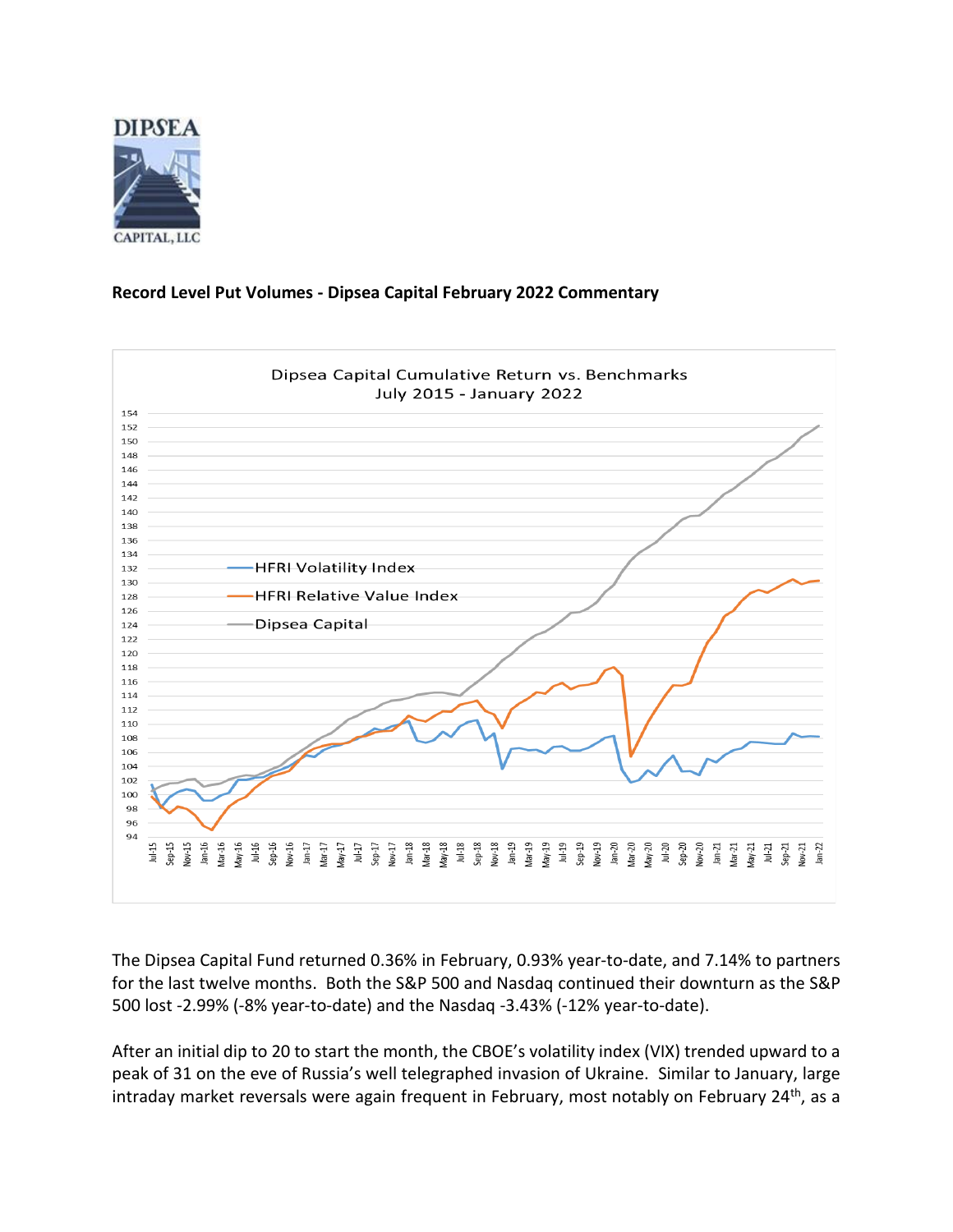

## **Record Level Put Volumes - Dipsea Capital February 2022 Commentary**



The Dipsea Capital Fund returned 0.36% in February, 0.93% year-to-date, and 7.14% to partners for the last twelve months. Both the S&P 500 and Nasdaq continued their downturn as the S&P 500 lost -2.99% (-8% year-to-date) and the Nasdaq -3.43% (-12% year-to-date).

After an initial dip to 20 to start the month, the CBOE's volatility index (VIX) trended upward to a peak of 31 on the eve of Russia's well telegraphed invasion of Ukraine. Similar to January, large intraday market reversals were again frequent in February, most notably on February 24<sup>th</sup>, as a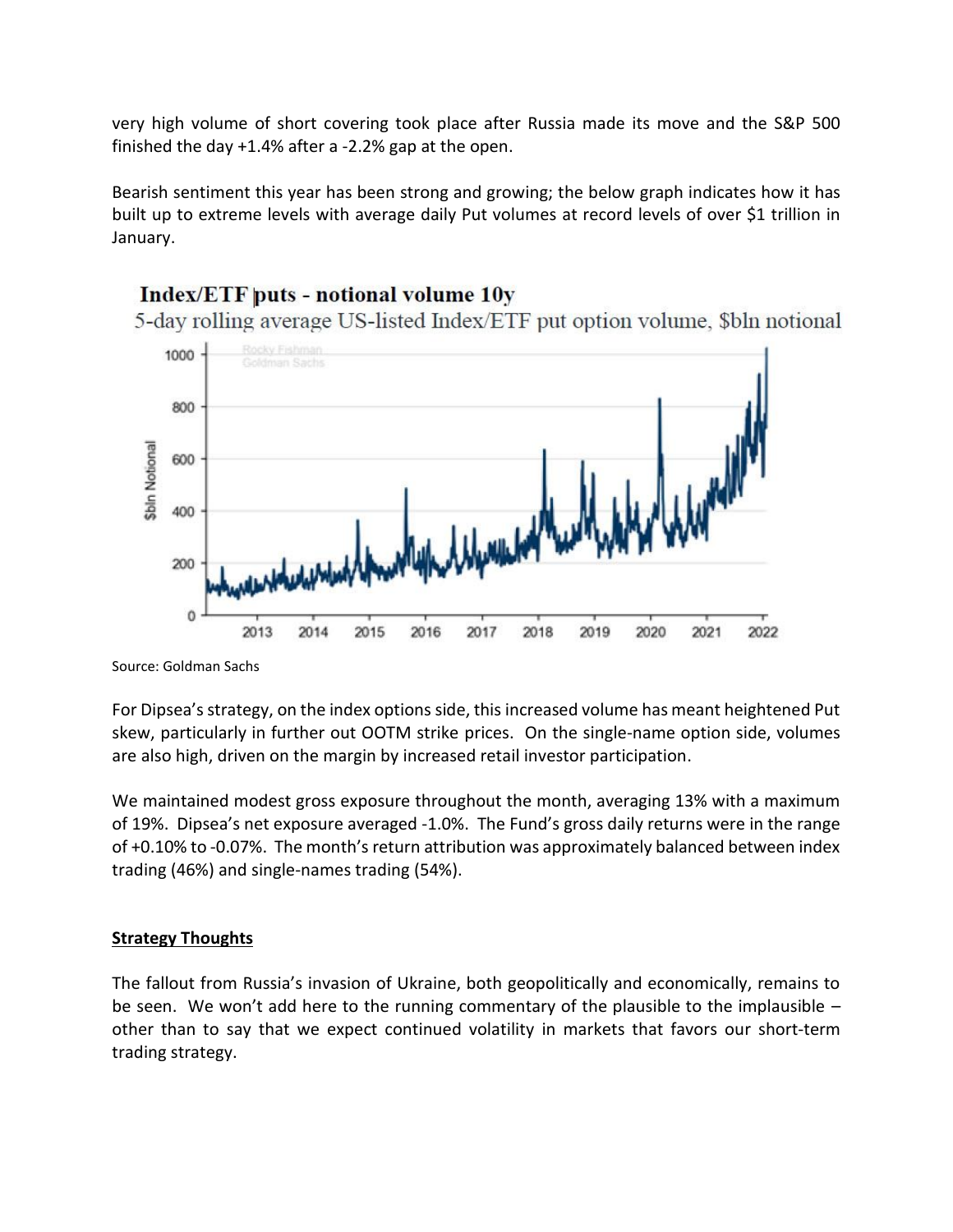very high volume of short covering took place after Russia made its move and the S&P 500 finished the day +1.4% after a -2.2% gap at the open.

Bearish sentiment this year has been strong and growing; the below graph indicates how it has built up to extreme levels with average daily Put volumes at record levels of over \$1 trillion in January.

## Index/ETF puts - notional volume 10y

5-day rolling average US-listed Index/ETF put option volume, \$bln notional



Source: Goldman Sachs

For Dipsea's strategy, on the index options side, this increased volume has meant heightened Put skew, particularly in further out OOTM strike prices. On the single-name option side, volumes are also high, driven on the margin by increased retail investor participation.

We maintained modest gross exposure throughout the month, averaging 13% with a maximum of 19%. Dipsea's net exposure averaged -1.0%. The Fund's gross daily returns were in the range of +0.10% to -0.07%. The month's return attribution was approximately balanced between index trading (46%) and single-names trading (54%).

## **Strategy Thoughts**

The fallout from Russia's invasion of Ukraine, both geopolitically and economically, remains to be seen. We won't add here to the running commentary of the plausible to the implausible  $$ other than to say that we expect continued volatility in markets that favors our short-term trading strategy.